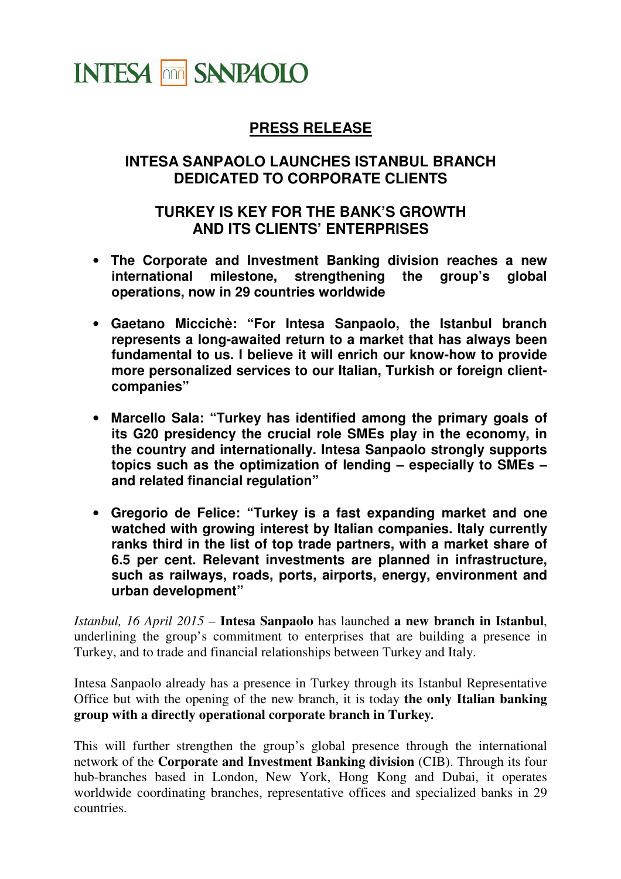

## **PRESS RELEASE**

## **INTESA SANPAOLO LAUNCHES ISTANBUL BRANCH DEDICATED TO CORPORATE CLIENTS**

## **TURKEY IS KEY FOR THE BANK'S GROWTH AND ITS CLIENTS' ENTERPRISES**

- **The Corporate and Investment Banking division reaches a new international milestone, strengthening the group's global operations, now in 29 countries worldwide**
- **Gaetano Miccichè: "For Intesa Sanpaolo, the Istanbul branch represents a long-awaited return to a market that has always been fundamental to us. I believe it will enrich our know-how to provide more personalized services to our Italian, Turkish or foreign clientcompanies"**
- **Marcello Sala: "Turkey has identified among the primary goals of its G20 presidency the crucial role SMEs play in the economy, in the country and internationally. Intesa Sanpaolo strongly supports**  topics such as the optimization of lending – especially to SMEs – **and related financial regulation"**
- **Gregorio de Felice: "Turkey is a fast expanding market and one watched with growing interest by Italian companies. Italy currently ranks third in the list of top trade partners, with a market share of 6.5 per cent. Relevant investments are planned in infrastructure, such as railways, roads, ports, airports, energy, environment and urban development"**

*Istanbul, 16 April 2015* – **Intesa Sanpaolo** has launched **a new branch in Istanbul**, underlining the group's commitment to enterprises that are building a presence in Turkey, and to trade and financial relationships between Turkey and Italy.

Intesa Sanpaolo already has a presence in Turkey through its Istanbul Representative Office but with the opening of the new branch, it is today **the only Italian banking group with a directly operational corporate branch in Turkey***.* 

This will further strengthen the group's global presence through the international network of the **Corporate and Investment Banking division** (CIB). Through its four hub-branches based in London, New York, Hong Kong and Dubai, it operates worldwide coordinating branches, representative offices and specialized banks in 29 countries.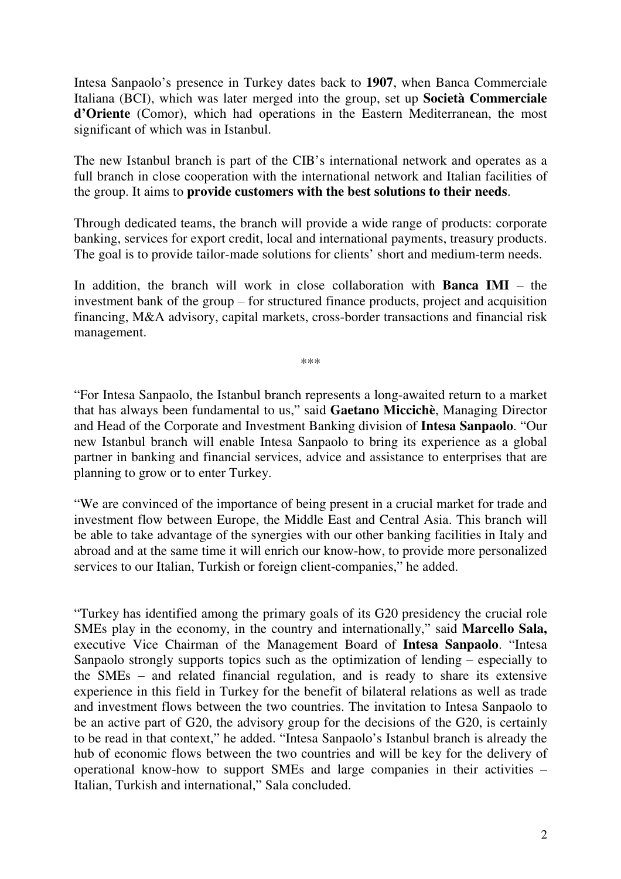Intesa Sanpaolo's presence in Turkey dates back to **1907**, when Banca Commerciale Italiana (BCI), which was later merged into the group, set up **Società Commerciale d'Oriente** (Comor), which had operations in the Eastern Mediterranean, the most significant of which was in Istanbul.

The new Istanbul branch is part of the CIB's international network and operates as a full branch in close cooperation with the international network and Italian facilities of the group. It aims to **provide customers with the best solutions to their needs**.

Through dedicated teams, the branch will provide a wide range of products: corporate banking, services for export credit, local and international payments, treasury products. The goal is to provide tailor-made solutions for clients' short and medium-term needs.

In addition, the branch will work in close collaboration with **Banca IMI** – the investment bank of the group – for structured finance products, project and acquisition financing, M&A advisory, capital markets, cross-border transactions and financial risk management.

\*\*\*

"For Intesa Sanpaolo, the Istanbul branch represents a long-awaited return to a market that has always been fundamental to us," said **Gaetano Miccichè**, Managing Director and Head of the Corporate and Investment Banking division of **Intesa Sanpaolo**. "Our new Istanbul branch will enable Intesa Sanpaolo to bring its experience as a global partner in banking and financial services, advice and assistance to enterprises that are planning to grow or to enter Turkey.

"We are convinced of the importance of being present in a crucial market for trade and investment flow between Europe, the Middle East and Central Asia. This branch will be able to take advantage of the synergies with our other banking facilities in Italy and abroad and at the same time it will enrich our know-how, to provide more personalized services to our Italian, Turkish or foreign client-companies," he added.

"Turkey has identified among the primary goals of its G20 presidency the crucial role SMEs play in the economy, in the country and internationally," said **Marcello Sala,**  executive Vice Chairman of the Management Board of **Intesa Sanpaolo**. "Intesa Sanpaolo strongly supports topics such as the optimization of lending  $-$  especially to the SMEs  $-$  and related financial regulation, and is ready to share its extensive experience in this field in Turkey for the benefit of bilateral relations as well as trade and investment flows between the two countries. The invitation to Intesa Sanpaolo to be an active part of G20, the advisory group for the decisions of the G20, is certainly to be read in that context," he added. "Intesa Sanpaolo's Istanbul branch is already the hub of economic flows between the two countries and will be key for the delivery of operational know-how to support SMEs and large companies in their activities  $-$ Italian, Turkish and international," Sala concluded.